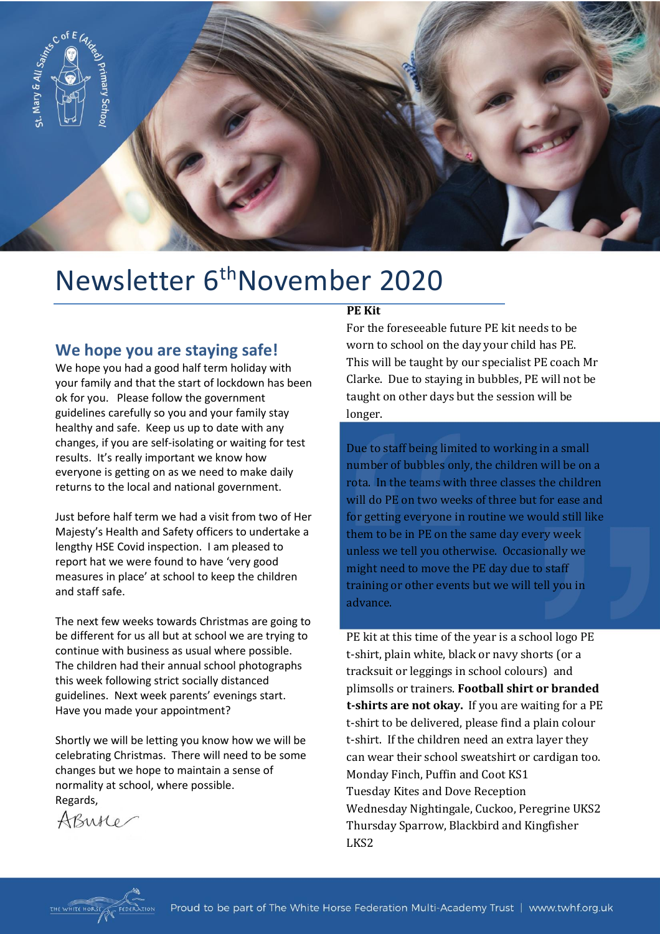

# Newsletter 6<sup>th</sup>November 2020

#### **We hope you are staying safe!**

We hope you had a good half term holiday with your family and that the start of lockdown has been ok for you. Please follow the government guidelines carefully so you and your family stay healthy and safe. Keep us up to date with any changes, if you are self-isolating or waiting for test results. It's really important we know how everyone is getting on as we need to make daily returns to the local and national government.

Just before half term we had a visit from two of Her Majesty's Health and Safety officers to undertake a lengthy HSE Covid inspection. I am pleased to report hat we were found to have 'very good measures in place' at school to keep the children and staff safe.

The next few weeks towards Christmas are going to be different for us all but at school we are trying to continue with business as usual where possible. The children had their annual school photographs this week following strict socially distanced guidelines. Next week parents' evenings start. Have you made your appointment?

Shortly we will be letting you know how we will be celebrating Christmas. There will need to be some changes but we hope to maintain a sense of normality at school, where possible. Regards,

AButter

#### **PE Kit**

For the foreseeable future PE kit needs to be worn to school on the day your child has PE. This will be taught by our specialist PE coach Mr Clarke. Due to staying in bubbles, PE will not be taught on other days but the session will be longer.

Due to staff being limited to working in a small number of bubbles only, the children will be on a rota. In the teams with three classes the children will do PE on two weeks of three but for ease and for getting everyone in routine we would still like them to be in PE on the same day every week unless we tell you otherwise. Occasionally we might need to move the PE day due to staff training or other events but we will tell you in advance.

PE kit at this time of the year is a school logo PE t-shirt, plain white, black or navy shorts (or a tracksuit or leggings in school colours) and plimsolls or trainers. **Football shirt or branded t-shirts are not okay.** If you are waiting for a PE t-shirt to be delivered, please find a plain colour t-shirt. If the children need an extra layer they can wear their school sweatshirt or cardigan too. Monday Finch, Puffin and Coot KS1 Tuesday Kites and Dove Reception Wednesday Nightingale, Cuckoo, Peregrine UKS2 Thursday Sparrow, Blackbird and Kingfisher LKS2

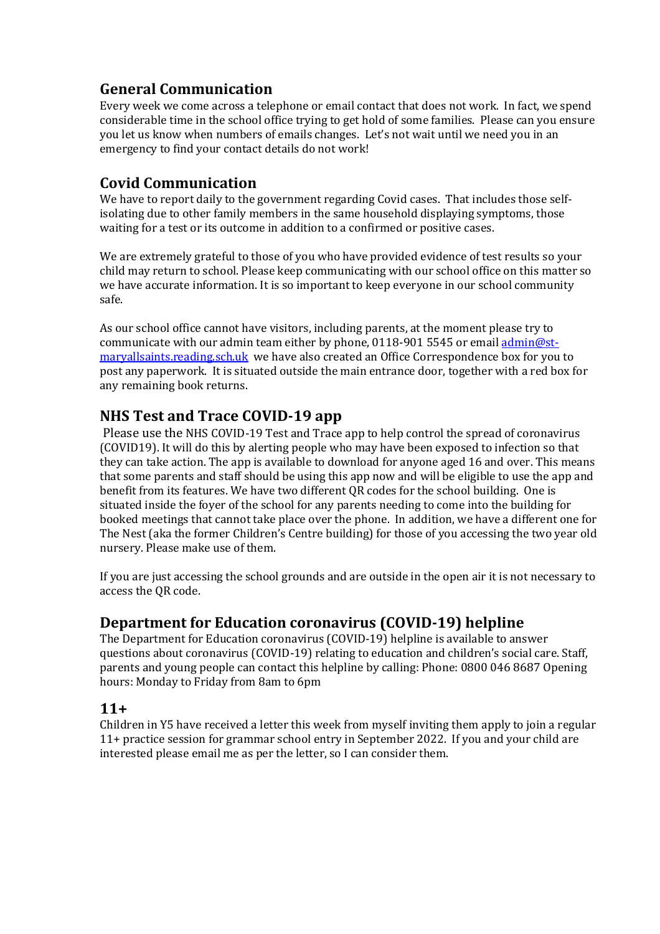# **General Communication**

Every week we come across a telephone or email contact that does not work. In fact, we spend considerable time in the school office trying to get hold of some families. Please can you ensure you let us know when numbers of emails changes. Let's not wait until we need you in an emergency to find your contact details do not work!

# **Covid Communication**

We have to report daily to the government regarding Covid cases. That includes those selfisolating due to other family members in the same household displaying symptoms, those waiting for a test or its outcome in addition to a confirmed or positive cases.

We are extremely grateful to those of you who have provided evidence of test results so your child may return to school. Please keep communicating with our school office on this matter so we have accurate information. It is so important to keep everyone in our school community safe.

As our school office cannot have visitors, including parents, at the moment please try to communicate with our admin team either by phone, 0118-901 5545 or emai[l admin@st](mailto:admin@st-maryallsaints.reading.sch.uk)[maryallsaints.reading.sch.uk](mailto:admin@st-maryallsaints.reading.sch.uk) we have also created an Office Correspondence box for you to post any paperwork. It is situated outside the main entrance door, together with a red box for any remaining book returns.

# **NHS Test and Trace COVID-19 app**

Please use the NHS COVID-19 Test and Trace app to help control the spread of coronavirus (COVID19). It will do this by alerting people who may have been exposed to infection so that they can take action. The app is available to download for anyone aged 16 and over. This means that some parents and staff should be using this app now and will be eligible to use the app and benefit from its features. We have two different QR codes for the school building. One is situated inside the foyer of the school for any parents needing to come into the building for booked meetings that cannot take place over the phone. In addition, we have a different one for The Nest (aka the former Children's Centre building) for those of you accessing the two year old nursery. Please make use of them.

If you are just accessing the school grounds and are outside in the open air it is not necessary to access the QR code.

#### **Department for Education coronavirus (COVID-19) helpline**

The Department for Education coronavirus (COVID-19) helpline is available to answer questions about coronavirus (COVID-19) relating to education and children's social care. Staff, parents and young people can contact this helpline by calling: Phone: 0800 046 8687 Opening hours: Monday to Friday from 8am to 6pm

#### **11+**

Children in Y5 have received a letter this week from myself inviting them apply to join a regular 11+ practice session for grammar school entry in September 2022. If you and your child are interested please email me as per the letter, so I can consider them.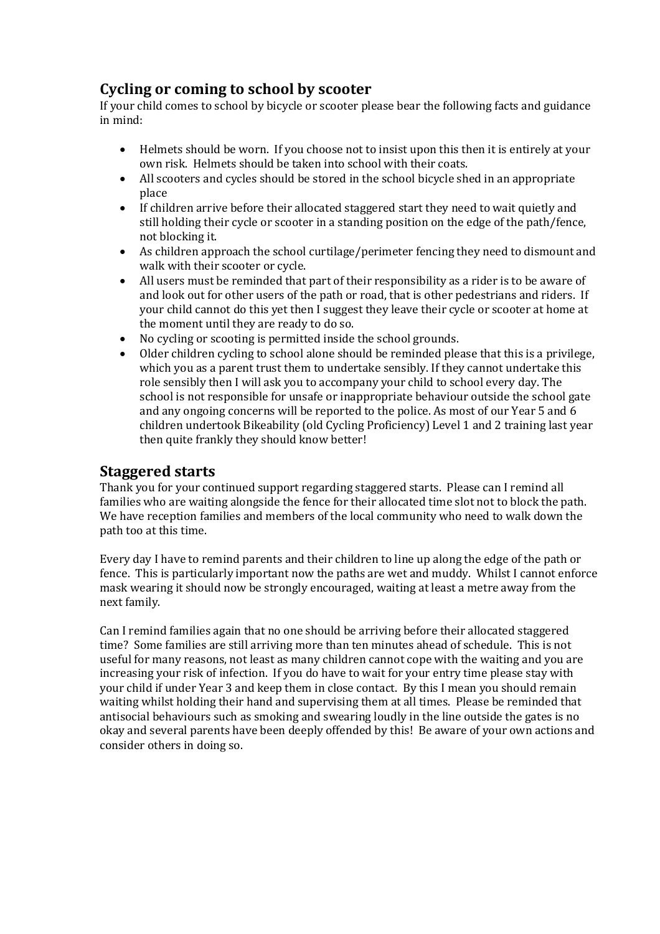#### **Cycling or coming to school by scooter**

If your child comes to school by bicycle or scooter please bear the following facts and guidance in mind:

- Helmets should be worn. If you choose not to insist upon this then it is entirely at your own risk. Helmets should be taken into school with their coats.
- All scooters and cycles should be stored in the school bicycle shed in an appropriate place
- If children arrive before their allocated staggered start they need to wait quietly and still holding their cycle or scooter in a standing position on the edge of the path/fence, not blocking it.
- As children approach the school curtilage/perimeter fencing they need to dismount and walk with their scooter or cycle.
- All users must be reminded that part of their responsibility as a rider is to be aware of and look out for other users of the path or road, that is other pedestrians and riders. If your child cannot do this yet then I suggest they leave their cycle or scooter at home at the moment until they are ready to do so.
- No cycling or scooting is permitted inside the school grounds.
- Older children cycling to school alone should be reminded please that this is a privilege, which you as a parent trust them to undertake sensibly. If they cannot undertake this role sensibly then I will ask you to accompany your child to school every day. The school is not responsible for unsafe or inappropriate behaviour outside the school gate and any ongoing concerns will be reported to the police. As most of our Year 5 and 6 children undertook Bikeability (old Cycling Proficiency) Level 1 and 2 training last year then quite frankly they should know better!

#### **Staggered starts**

Thank you for your continued support regarding staggered starts. Please can I remind all families who are waiting alongside the fence for their allocated time slot not to block the path. We have reception families and members of the local community who need to walk down the path too at this time.

Every day I have to remind parents and their children to line up along the edge of the path or fence. This is particularly important now the paths are wet and muddy. Whilst I cannot enforce mask wearing it should now be strongly encouraged, waiting at least a metre away from the next family.

Can I remind families again that no one should be arriving before their allocated staggered time? Some families are still arriving more than ten minutes ahead of schedule. This is not useful for many reasons, not least as many children cannot cope with the waiting and you are increasing your risk of infection. If you do have to wait for your entry time please stay with your child if under Year 3 and keep them in close contact. By this I mean you should remain waiting whilst holding their hand and supervising them at all times. Please be reminded that antisocial behaviours such as smoking and swearing loudly in the line outside the gates is no okay and several parents have been deeply offended by this! Be aware of your own actions and consider others in doing so.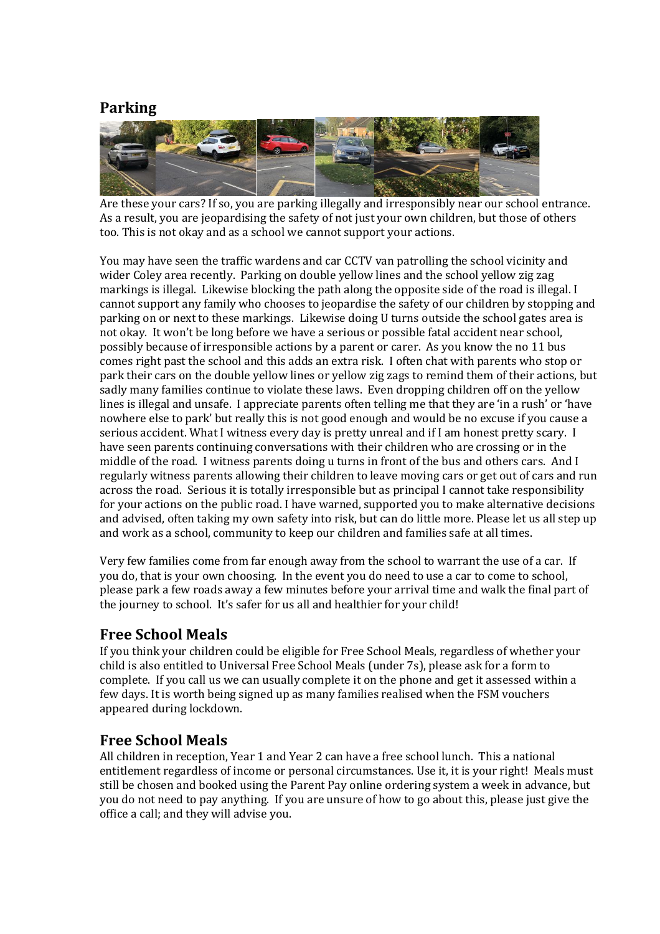#### **Parking**



Are these your cars? If so, you are parking illegally and irresponsibly near our school entrance. As a result, you are jeopardising the safety of not just your own children, but those of others too. This is not okay and as a school we cannot support your actions.

You may have seen the traffic wardens and car CCTV van patrolling the school vicinity and wider Coley area recently. Parking on double yellow lines and the school yellow zig zag markings is illegal. Likewise blocking the path along the opposite side of the road is illegal. I cannot support any family who chooses to jeopardise the safety of our children by stopping and parking on or next to these markings. Likewise doing U turns outside the school gates area is not okay. It won't be long before we have a serious or possible fatal accident near school, possibly because of irresponsible actions by a parent or carer. As you know the no 11 bus comes right past the school and this adds an extra risk. I often chat with parents who stop or park their cars on the double yellow lines or yellow zig zags to remind them of their actions, but sadly many families continue to violate these laws. Even dropping children off on the yellow lines is illegal and unsafe. I appreciate parents often telling me that they are 'in a rush' or 'have nowhere else to park' but really this is not good enough and would be no excuse if you cause a serious accident. What I witness every day is pretty unreal and if I am honest pretty scary. I have seen parents continuing conversations with their children who are crossing or in the middle of the road. I witness parents doing u turns in front of the bus and others cars. And I regularly witness parents allowing their children to leave moving cars or get out of cars and run across the road. Serious it is totally irresponsible but as principal I cannot take responsibility for your actions on the public road. I have warned, supported you to make alternative decisions and advised, often taking my own safety into risk, but can do little more. Please let us all step up and work as a school, community to keep our children and families safe at all times.

Very few families come from far enough away from the school to warrant the use of a car. If you do, that is your own choosing. In the event you do need to use a car to come to school, please park a few roads away a few minutes before your arrival time and walk the final part of the journey to school. It's safer for us all and healthier for your child!

#### **Free School Meals**

If you think your children could be eligible for Free School Meals, regardless of whether your child is also entitled to Universal Free School Meals (under 7s), please ask for a form to complete. If you call us we can usually complete it on the phone and get it assessed within a few days. It is worth being signed up as many families realised when the FSM vouchers appeared during lockdown.

#### **Free School Meals**

All children in reception, Year 1 and Year 2 can have a free school lunch. This a national entitlement regardless of income or personal circumstances. Use it, it is your right! Meals must still be chosen and booked using the Parent Pay online ordering system a week in advance, but you do not need to pay anything. If you are unsure of how to go about this, please just give the office a call; and they will advise you.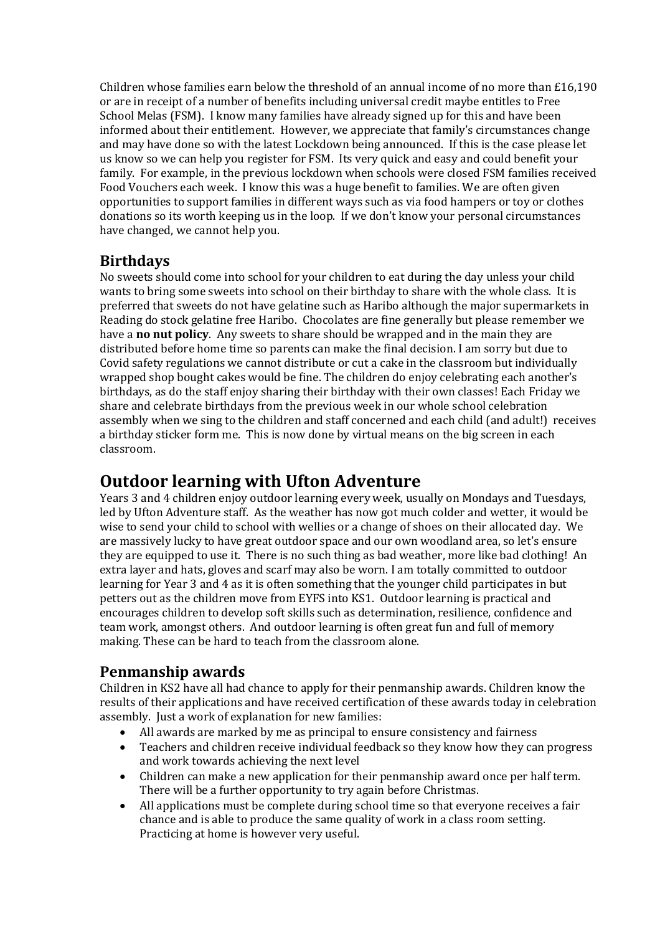Children whose families earn below the threshold of an annual income of no more than £16,190 or are in receipt of a number of benefits including universal credit maybe entitles to Free School Melas (FSM). I know many families have already signed up for this and have been informed about their entitlement. However, we appreciate that family's circumstances change and may have done so with the latest Lockdown being announced. If this is the case please let us know so we can help you register for FSM. Its very quick and easy and could benefit your family. For example, in the previous lockdown when schools were closed FSM families received Food Vouchers each week. I know this was a huge benefit to families. We are often given opportunities to support families in different ways such as via food hampers or toy or clothes donations so its worth keeping us in the loop. If we don't know your personal circumstances have changed, we cannot help you.

### **Birthdays**

No sweets should come into school for your children to eat during the day unless your child wants to bring some sweets into school on their birthday to share with the whole class. It is preferred that sweets do not have gelatine such as Haribo although the major supermarkets in Reading do stock gelatine free Haribo. Chocolates are fine generally but please remember we have a **no nut policy**. Any sweets to share should be wrapped and in the main they are distributed before home time so parents can make the final decision. I am sorry but due to Covid safety regulations we cannot distribute or cut a cake in the classroom but individually wrapped shop bought cakes would be fine. The children do enjoy celebrating each another's birthdays, as do the staff enjoy sharing their birthday with their own classes! Each Friday we share and celebrate birthdays from the previous week in our whole school celebration assembly when we sing to the children and staff concerned and each child (and adult!) receives a birthday sticker form me. This is now done by virtual means on the big screen in each classroom.

# **Outdoor learning with Ufton Adventure**

Years 3 and 4 children enjoy outdoor learning every week, usually on Mondays and Tuesdays, led by Ufton Adventure staff. As the weather has now got much colder and wetter, it would be wise to send your child to school with wellies or a change of shoes on their allocated day. We are massively lucky to have great outdoor space and our own woodland area, so let's ensure they are equipped to use it. There is no such thing as bad weather, more like bad clothing! An extra layer and hats, gloves and scarf may also be worn. I am totally committed to outdoor learning for Year 3 and 4 as it is often something that the younger child participates in but petters out as the children move from EYFS into KS1. Outdoor learning is practical and encourages children to develop soft skills such as determination, resilience, confidence and team work, amongst others. And outdoor learning is often great fun and full of memory making. These can be hard to teach from the classroom alone.

# **Penmanship awards**

Children in KS2 have all had chance to apply for their penmanship awards. Children know the results of their applications and have received certification of these awards today in celebration assembly. Just a work of explanation for new families:

- All awards are marked by me as principal to ensure consistency and fairness
- Teachers and children receive individual feedback so they know how they can progress and work towards achieving the next level
- Children can make a new application for their penmanship award once per half term. There will be a further opportunity to try again before Christmas.
- All applications must be complete during school time so that everyone receives a fair chance and is able to produce the same quality of work in a class room setting. Practicing at home is however very useful.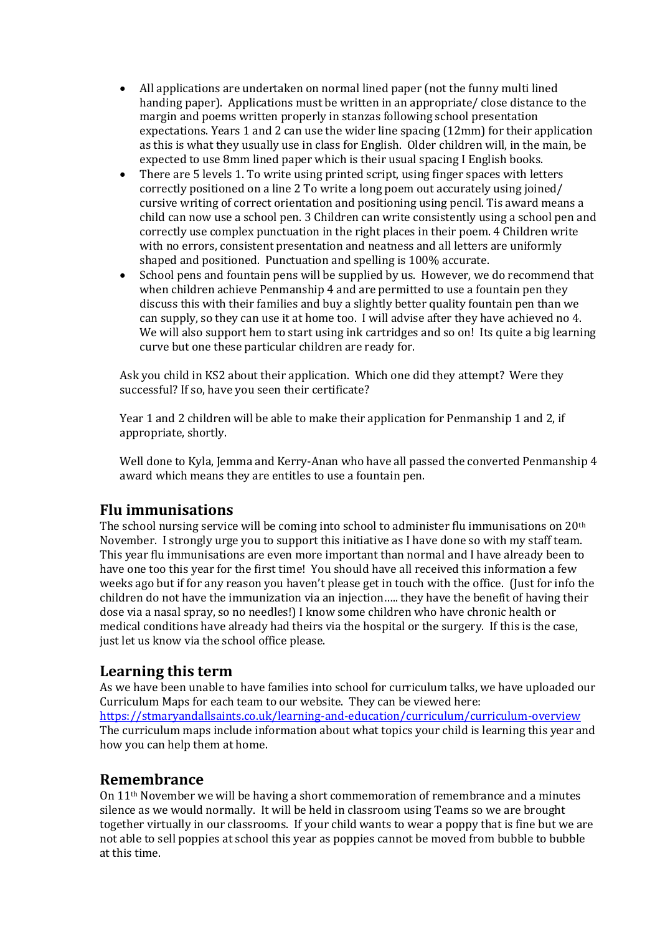- All applications are undertaken on normal lined paper (not the funny multi lined handing paper). Applications must be written in an appropriate/ close distance to the margin and poems written properly in stanzas following school presentation expectations. Years 1 and 2 can use the wider line spacing (12mm) for their application as this is what they usually use in class for English. Older children will, in the main, be expected to use 8mm lined paper which is their usual spacing I English books.
- There are 5 levels 1. To write using printed script, using finger spaces with letters correctly positioned on a line 2 To write a long poem out accurately using joined/ cursive writing of correct orientation and positioning using pencil. Tis award means a child can now use a school pen. 3 Children can write consistently using a school pen and correctly use complex punctuation in the right places in their poem. 4 Children write with no errors, consistent presentation and neatness and all letters are uniformly shaped and positioned. Punctuation and spelling is 100% accurate.
- School pens and fountain pens will be supplied by us. However, we do recommend that when children achieve Penmanship 4 and are permitted to use a fountain pen they discuss this with their families and buy a slightly better quality fountain pen than we can supply, so they can use it at home too. I will advise after they have achieved no 4. We will also support hem to start using ink cartridges and so on! Its quite a big learning curve but one these particular children are ready for.

Ask you child in KS2 about their application. Which one did they attempt? Were they successful? If so, have you seen their certificate?

Year 1 and 2 children will be able to make their application for Penmanship 1 and 2, if appropriate, shortly.

Well done to Kyla, Jemma and Kerry-Anan who have all passed the converted Penmanship 4 award which means they are entitles to use a fountain pen.

#### **Flu immunisations**

The school nursing service will be coming into school to administer flu immunisations on 20th November. I strongly urge you to support this initiative as I have done so with my staff team. This year flu immunisations are even more important than normal and I have already been to have one too this year for the first time! You should have all received this information a few weeks ago but if for any reason you haven't please get in touch with the office. (Just for info the children do not have the immunization via an injection….. they have the benefit of having their dose via a nasal spray, so no needles!) I know some children who have chronic health or medical conditions have already had theirs via the hospital or the surgery. If this is the case, just let us know via the school office please.

#### **Learning this term**

As we have been unable to have families into school for curriculum talks, we have uploaded our Curriculum Maps for each team to our website. They can be viewed here: <https://stmaryandallsaints.co.uk/learning-and-education/curriculum/curriculum-overview> The curriculum maps include information about what topics your child is learning this year and how you can help them at home.

#### **Remembrance**

On 11th November we will be having a short commemoration of remembrance and a minutes silence as we would normally. It will be held in classroom using Teams so we are brought together virtually in our classrooms. If your child wants to wear a poppy that is fine but we are not able to sell poppies at school this year as poppies cannot be moved from bubble to bubble at this time.